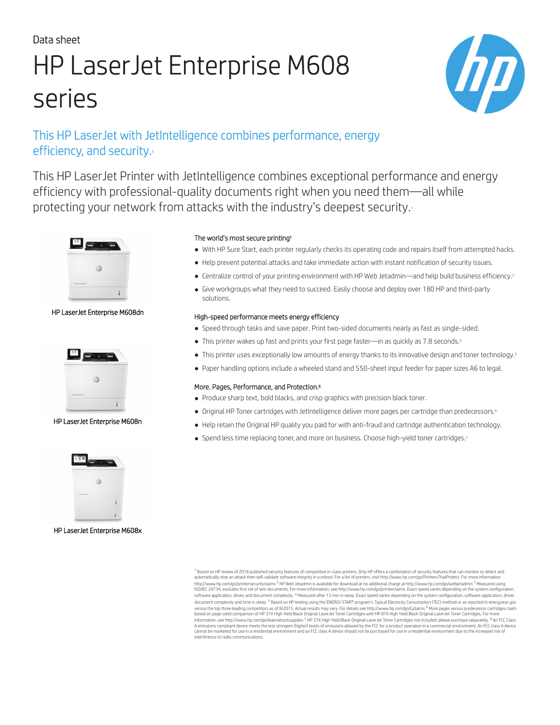# Data sheet HP LaserJet Enterprise M608 series



# This HP LaserJet with JetIntelligence combines performance, energy efficiency, and security.

This HP LaserJet Printer with JetIntelligence combines exceptional performance and energy efficiency with professional-quality documents right when you need them—all while protecting your network from attacks with the industry's deepest security.



HP LaserJet Enterprise M608dn



HP LaserJet Enterprise M608n



HP LaserJet Enterprise M608x

### The world's most secure printing<sup>1</sup>

- With HP Sure Start, each printer regularly checks its operating code and repairs itself from attempted hacks.
- Help prevent potential attacks and take immediate action with instant notification of security issues.
- Centralize control of your printing environment with HP Web Jetadmin—and help build business efficiency.<sup>2</sup>
- Give workgroups what they need to succeed. Easily choose and deploy over 180 HP and third-party solutions.

### High-speed performance meets energy efficiency

- Speed through tasks and save paper. Print two-sided documents nearly as fast as single-sided.
- This printer wakes up fast and prints your first page faster—in as quickly as 7.8 seconds.<sup>4</sup>
- This printer uses exceptionally low amounts of energy thanks to its innovative design and toner technology.<sup>5</sup>
- Paper handling options include a wheeled stand and 550-sheet input feeder for paper sizes A6 to legal.

### More. Pages, Performance, and Protection.<sup>6</sup>

- Produce sharp text, bold blacks, and crisp graphics with precision black toner.
- Original HP Toner cartridges with JetIntelligence deliver more pages per cartridge than predecessors.<sup>6</sup>
- Help retain the Original HP quality you paid for with anti-fraud and cartridge authentication technology.
- Spend less time replacing toner, and more on business. Choose high-yield toner cartridges.<sup>7</sup>

 $^1$  Based on HP review of 2016 published security features of competitive in-class printers. Only HP offers a combination of security features that can monitor to detect and automatically stop an attack then self-validate software integrity in a reboot. For a list of printers, visit http://www.hp.com/go/PrintersThatProtect. For more information: http://www.hp.com/go/printersecurityclaims <sup>2</sup> HP Web Jetadmin is available for download at no additional charge at http://www.hp.com/go/webjetadmin <sup>3</sup> Measured using<br>ISO/IEC 24734, excludes first set of documents. For mo document complexity and time in sleep. <sup>5</sup> Based on HP testing using the ENERGY STAR® program's Typical Electricity Consumption (TEC) method or as reported in [energystar.gov](http://energystar.gov) versus the top three leading competitors as of 8/2015. Actual results may vary. For details see http://www.hp.com/go/Ljclaims <sup>6</sup> More pages versus predecessor cartridges claim<br>based on page-yield comparison of HP 37X High information, see http://www.hp.com/go/learnaboutsupplies <sup>7</sup> HP 37X High Yield Black Original Laser.Jet Toner Cartridges not included; please purchase separately. <sup>8</sup> An FCC Class<br>A emissions compliant device meets the lea interference to radio communications.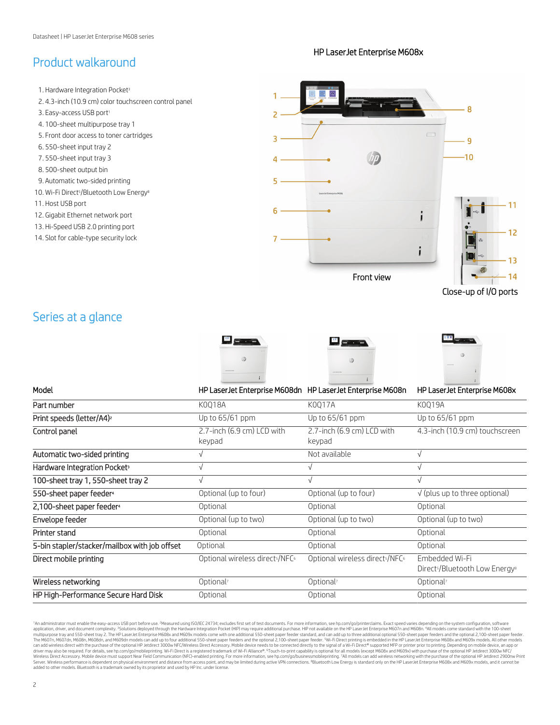# Product walkaround

### HP LaserJet Enterprise M608x



Close-up of I/O ports

# Series at a glance







| Model                                         | HP LaserJet Enterprise M608dn HP LaserJet Enterprise M608n |                                                         | HP LaserJet Enterprise M608x                                             |
|-----------------------------------------------|------------------------------------------------------------|---------------------------------------------------------|--------------------------------------------------------------------------|
| Part number                                   | K0018A                                                     | K0017A                                                  | K0019A                                                                   |
| Print speeds (letter/A4) <sup>2</sup>         | Up to 65/61 ppm                                            | Up to 65/61 ppm                                         | Up to 65/61 ppm                                                          |
| Control panel                                 | 2.7-inch (6.9 cm) LCD with<br>keypad                       | 2.7-inch (6.9 cm) LCD with<br>keypad                    | 4.3-inch (10.9 cm) touchscreen                                           |
| Automatic two-sided printing                  |                                                            | Not available                                           | V                                                                        |
| Hardware Integration Pocket <sup>3</sup>      |                                                            |                                                         |                                                                          |
| 100-sheet tray 1, 550-sheet tray 2            |                                                            |                                                         |                                                                          |
| 550-sheet paper feeder <sup>4</sup>           | Optional (up to four)                                      | Optional (up to four)                                   | $\sqrt{}$ (plus up to three optional)                                    |
| 2,100-sheet paper feeder <sup>4</sup>         | Optional                                                   | Optional                                                | Optional                                                                 |
| Envelope feeder                               | Optional (up to two)                                       | Optional (up to two)                                    | Optional (up to two)                                                     |
| Printer stand                                 | Optional                                                   | Optional                                                | Optional                                                                 |
| 5-bin stapler/stacker/mailbox with job offset | Optional                                                   | Optional                                                | Optional                                                                 |
| Direct mobile printing                        | Optional wireless direct <sup>s</sup> /NFC <sup>6</sup>    | Optional wireless direct <sup>s</sup> /NFC <sup>6</sup> | Embedded Wi-Fi<br>Direct <sup>5</sup> /Bluetooth Low Energy <sup>8</sup> |
| Wireless networking                           | Optional <sup>7</sup>                                      | Optional <sup>7</sup>                                   | Optional <sup>7</sup>                                                    |
| HP High-Performance Secure Hard Disk          | Optional                                                   | Optional                                                | Optional                                                                 |

<sup>1</sup>An administrator must enable the easy-access USB port before use. <sup>3</sup>Measured using ISO/IEC 24734; excludes first set of test documents. For more information, see hp.com/go/printerclaims. Exact speed varies depending on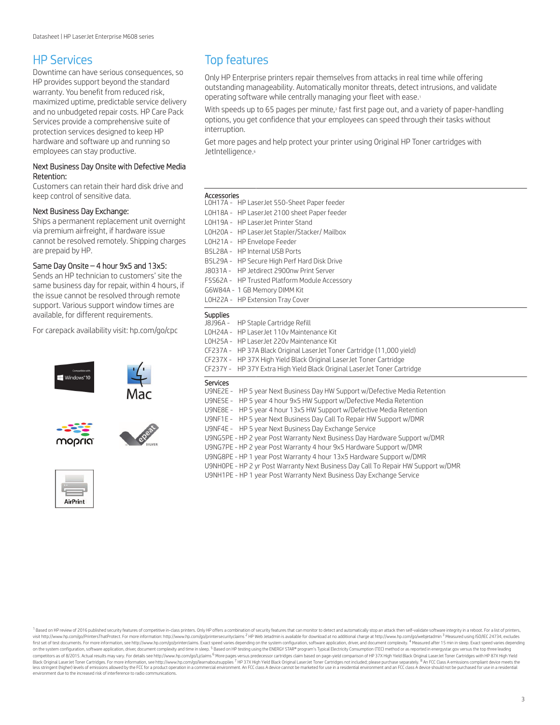### HP Services

Downtime can have serious consequences, so HP provides support beyond the standard warranty. You benefit from reduced risk, maximized uptime, predictable service delivery and no unbudgeted repair costs. HP Care Pack Services provide a comprehensive suite of protection services designed to keep HP hardware and software up and running so employees can stay productive.

### Next Business Day Onsite with Defective Media Retention:

Customers can retain their hard disk drive and keep control of sensitive data.

### Next Business Day Exchange:

Ships a permanent replacement unit overnight via premium airfreight, if hardware issue cannot be resolved remotely. Shipping charges are prepaid by HP.

### Same Day Onsite – 4 hour 9x5 and 13x5:

Sends an HP technician to customers' site the same business day for repair, within 4 hours, if the issue cannot be resolved through remote support. Various support window times are available, for different requirements.

For carepack availability visit: [hp.com/go/cpc](http://hp.com/go/cpc)





# Top features

Only HP Enterprise printers repair themselves from attacks in real time while offering outstanding manageability. Automatically monitor threats, detect intrusions, and validate operating software while centrally managing your fleet with ease.<sup>1</sup>

With speeds up to 65 pages per minute,<sup>3</sup> fast first page out, and a variety of paper-handling options, you get confidence that your employees can speed through their tasks without interruption.

Get more pages and help protect your printer using Original HP Toner cartridges with JetIntelligence.<sup>6</sup>

### Accessories

| ACCESSOFIES<br>LOH17A - HP LaserJet 550-Sheet Paper feeder<br>LOH18A - HP LaserJet 2100 sheet Paper feeder<br>LOH19A - HP Laser Jet Printer Stand<br>LOH2OA - HP LaserJet Stapler/Stacker/ Mailbox<br>LOH21A - HP Envelope Feeder<br>B5L28A - HP Internal USB Ports<br>B5L29A - HP Secure High Perf Hard Disk Drive<br>18031A - HP Jetdirect 2900nw Print Server<br>F5S62A - HP Trusted Platform Module Accessory                                                                                                                                                                                                                                                                                                                                                          |
|----------------------------------------------------------------------------------------------------------------------------------------------------------------------------------------------------------------------------------------------------------------------------------------------------------------------------------------------------------------------------------------------------------------------------------------------------------------------------------------------------------------------------------------------------------------------------------------------------------------------------------------------------------------------------------------------------------------------------------------------------------------------------|
| G6W84A - 1 GB Memory DIMM Kit<br>LOH22A - HP Extension Tray Cover                                                                                                                                                                                                                                                                                                                                                                                                                                                                                                                                                                                                                                                                                                          |
| <b>Supplies</b><br>J8J96A - HP Staple Cartridge Refill<br>LOH24A - HP Laser Jet 110v Maintenance Kit<br>LOH25A - HP Laser Jet 220v Maintenance Kit<br>CF237A - HP 37A Black Original LaserJet Toner Cartridge (11,000 yield)<br>CF237X - HP 37X High Yield Black Original LaserJet Toner Cartridge<br>CF237Y - HP 37Y Extra High Yield Black Original LaserJet Toner Cartridge                                                                                                                                                                                                                                                                                                                                                                                             |
| <b>Services</b><br>U9NE2E - HP 5 year Next Business Day HW Support w/Defective Media Retention<br>U9NE5E - HP 5 year 4 hour 9x5 HW Support w/Defective Media Retention<br>U9NE8E - HP 5 year 4 hour 13x5 HW Support w/Defective Media Retention<br>U9NF1E - HP 5 year Next Business Day Call To Repair HW Support w/DMR<br>U9NF4E - HP 5 year Next Business Day Exchange Service<br>U9NG5PE - HP 2 year Post Warranty Next Business Day Hardware Support w/DMR<br>U9NG7PE - HP 2 year Post Warranty 4 hour 9x5 Hardware Support w/DMR<br>U9NG8PE - HP 1 year Post Warranty 4 hour 13x5 Hardware Support w/DMR<br>U9NHOPE - HP 2 yr Post Warranty Next Business Day Call To Repair HW Support w/DMR<br>U9NH1PE - HP 1 year Post Warranty Next Business Day Exchange Service |

1 Based on HP review of 2016 published security features of competitive in-class printers. Only HP offers a combination of security features that can monitor to detect and automatically stop an attack then self-validate so visit http://www.hp.com/go/PrintersThatProtect. For more information: http://www.hp.com/go/printersecurityclaims<sup>2</sup> HP Web Jetadmin is available for download at no additional charge at http://www.hp.com/go/webjetadmin<sup>3</sup> M first set of test documents. For more information, see http://www.hp.com/go/printerclaims. Exact speed varies depending on the system configuration, software application, driver, and document complexity. <sup>4</sup> Measured after on the system configuration, software application, driver, document complexity and time in sleep. <sup>5</sup> Based on HP testing using the ENERGY STAR® program's Typical Electricity Consumption (TEC) method or as reported in ene environment due to the increased risk of interference to radio communications.